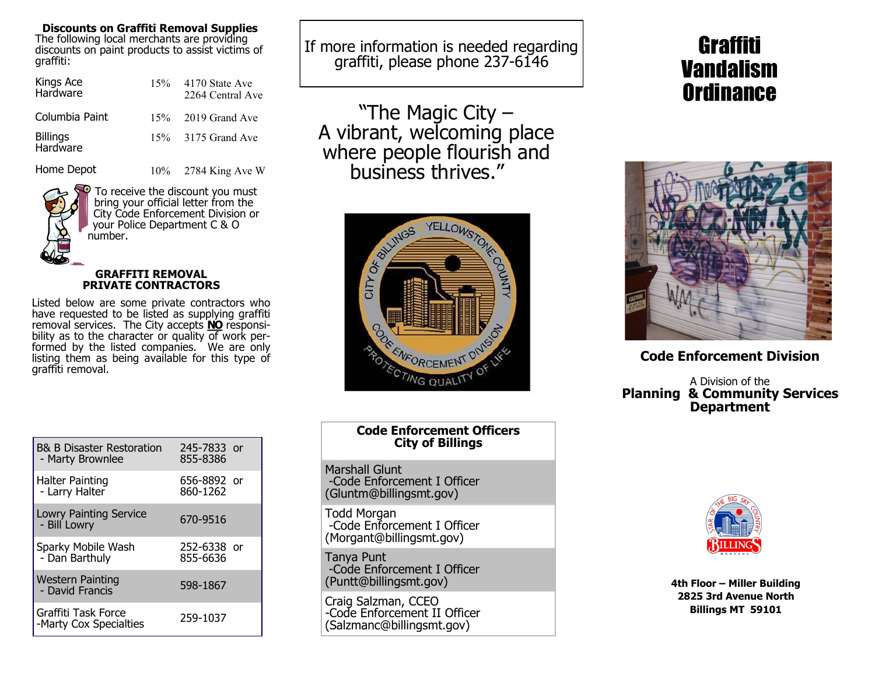# **Discounts on Graffiti Removal Supplies**

The following local merchants are providing discounts on paint products to assist victims of graffiti:

| Kings Ace<br>Hardware | 15\% 4170 State Ave<br>2264 Central Ave |
|-----------------------|-----------------------------------------|
| Columbia Paint        | 15% 2019 Grand Ave                      |
| Billings<br>Hardware  | 15% 3175 Grand Ave                      |

Home Depot 10% 2784 King Ave W



To receive the discount you must bring your official letter from the City Code Enforcement Division or your Police Department C & O number.

#### **GRAFFITI REMOVAL PRIVATE CONTRACTORS**

Listed below are some private contractors who have requested to be listed as supplying graffiti removal services. The City accepts **NO** responsibility as to the character or quality of work performed by the listed companies. We are only listing them as being available for this type of graffiti removal.

| <b>B&amp; B Disaster Restoration</b><br>- Marty Brownlee | 245-7833 or<br>855-8386 |
|----------------------------------------------------------|-------------------------|
| Halter Painting<br>- Larry Halter                        | 656-8892 or<br>860-1262 |
| <b>Lowry Painting Service</b><br>- Bill Lowry            | 670-9516                |
| Sparky Mobile Wash<br>- Dan Barthuly                     | 252-6338 or<br>855-6636 |
| Western Painting<br>- David Francis                      | 598-1867                |
| Graffiti Task Force<br>-Marty Cox Specialties            | 259-1037                |

If more information is needed regarding graffiti, please phone 237-6146

"The Magic City – A vibrant, welcoming place where people flourish and business thrives."



# **Code Enforcement Officers City of Billings**

Marshall Glunt -Code Enforcement I Officer (Gluntm@billingsmt.gov)

Todd Morgan -Code Enforcement I Officer (Morgant@billingsmt.gov)

Tanya Punt -Code Enforcement I Officer (Puntt@billingsmt.gov)

Craig Salzman, CCEO -Code Enforcement II Officer (Salzmanc@billingsmt.gov)

# Graffiti Vandalism **Ordinance**



# **Code Enforcement Division**

A Division of the **Planning & Community Services Department**



**4th Floor – Miller Building 2825 3rd Avenue North Billings MT 59101**